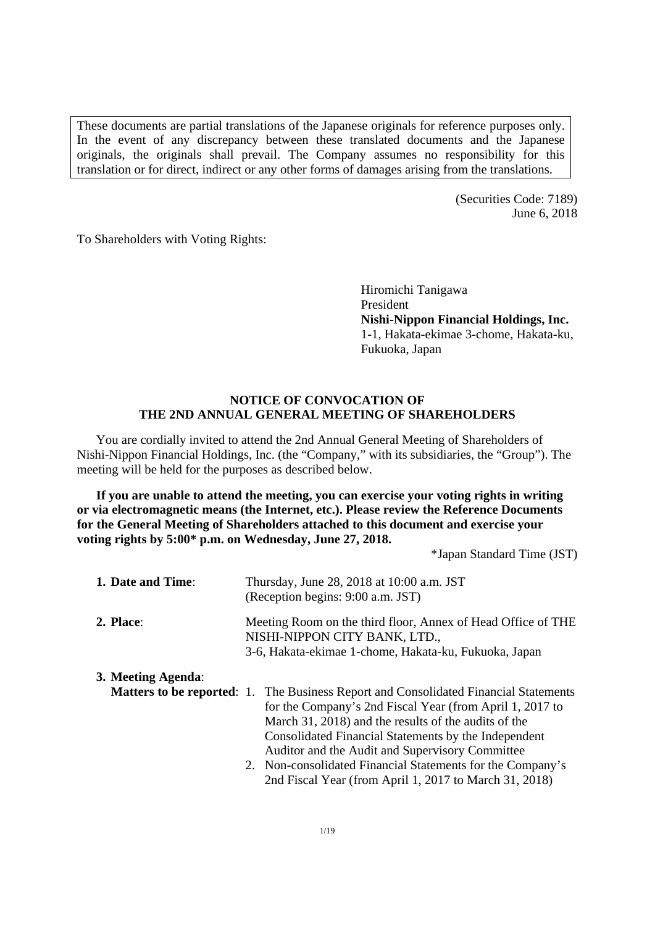These documents are partial translations of the Japanese originals for reference purposes only. In the event of any discrepancy between these translated documents and the Japanese originals, the originals shall prevail. The Company assumes no responsibility for this translation or for direct, indirect or any other forms of damages arising from the translations.

> (Securities Code: 7189) June 6, 2018

To Shareholders with Voting Rights:

Hiromichi Tanigawa President **Nishi-Nippon Financial Holdings, Inc.**  1-1, Hakata-ekimae 3-chome, Hakata-ku, Fukuoka, Japan

# **NOTICE OF CONVOCATION OF THE 2ND ANNUAL GENERAL MEETING OF SHAREHOLDERS**

You are cordially invited to attend the 2nd Annual General Meeting of Shareholders of Nishi-Nippon Financial Holdings, Inc. (the "Company," with its subsidiaries, the "Group"). The meeting will be held for the purposes as described below.

**If you are unable to attend the meeting, you can exercise your voting rights in writing or via electromagnetic means (the Internet, etc.). Please review the Reference Documents for the General Meeting of Shareholders attached to this document and exercise your voting rights by 5:00\* p.m. on Wednesday, June 27, 2018.** 

\*Japan Standard Time (JST)

| 1. Date and Time:  | Thursday, June 28, 2018 at 10:00 a.m. JST<br>(Reception begins: 9:00 a.m. JST)                                                                                                                                                                                                                                                                                                                                                                     |  |  |  |
|--------------------|----------------------------------------------------------------------------------------------------------------------------------------------------------------------------------------------------------------------------------------------------------------------------------------------------------------------------------------------------------------------------------------------------------------------------------------------------|--|--|--|
| 2. Place:          | Meeting Room on the third floor, Annex of Head Office of THE<br>NISHI-NIPPON CITY BANK, LTD.,<br>3-6, Hakata-ekimae 1-chome, Hakata-ku, Fukuoka, Japan                                                                                                                                                                                                                                                                                             |  |  |  |
| 3. Meeting Agenda: | <b>Matters to be reported:</b> 1. The Business Report and Consolidated Financial Statements<br>for the Company's 2nd Fiscal Year (from April 1, 2017 to<br>March 31, 2018) and the results of the audits of the<br>Consolidated Financial Statements by the Independent<br>Auditor and the Audit and Supervisory Committee<br>2. Non-consolidated Financial Statements for the Company's<br>2nd Fiscal Year (from April 1, 2017 to March 31, 2018) |  |  |  |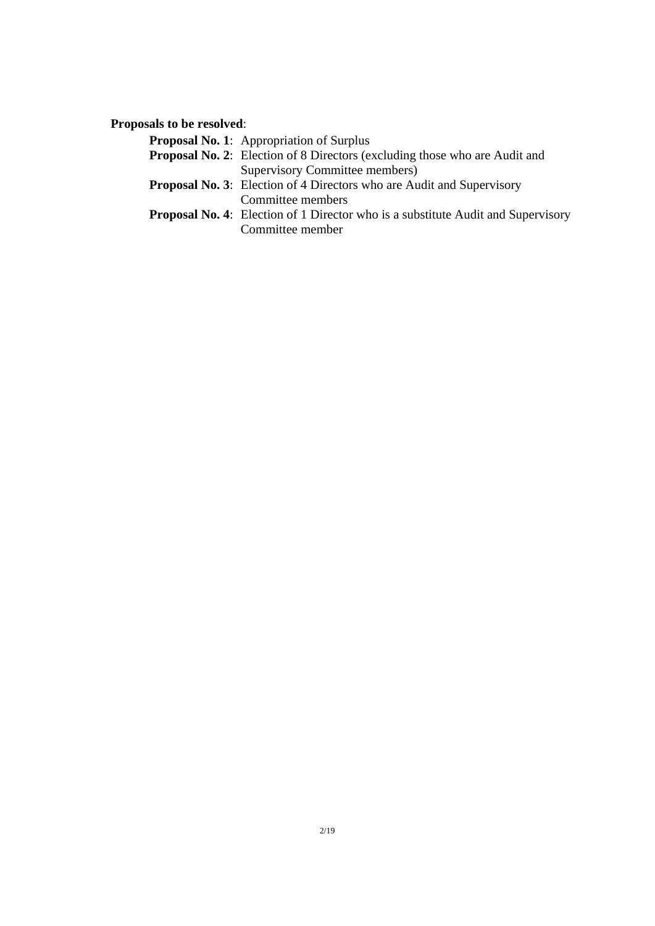**Proposals to be resolved**:

| <b>Proposal No. 1:</b> Appropriation of Surplus                                         |
|-----------------------------------------------------------------------------------------|
| <b>Proposal No. 2:</b> Election of 8 Directors (excluding those who are Audit and       |
| Supervisory Committee members)                                                          |
| <b>Proposal No. 3:</b> Election of 4 Directors who are Audit and Supervisory            |
| Committee members                                                                       |
| <b>Proposal No. 4:</b> Election of 1 Director who is a substitute Audit and Supervisory |
| Committee member                                                                        |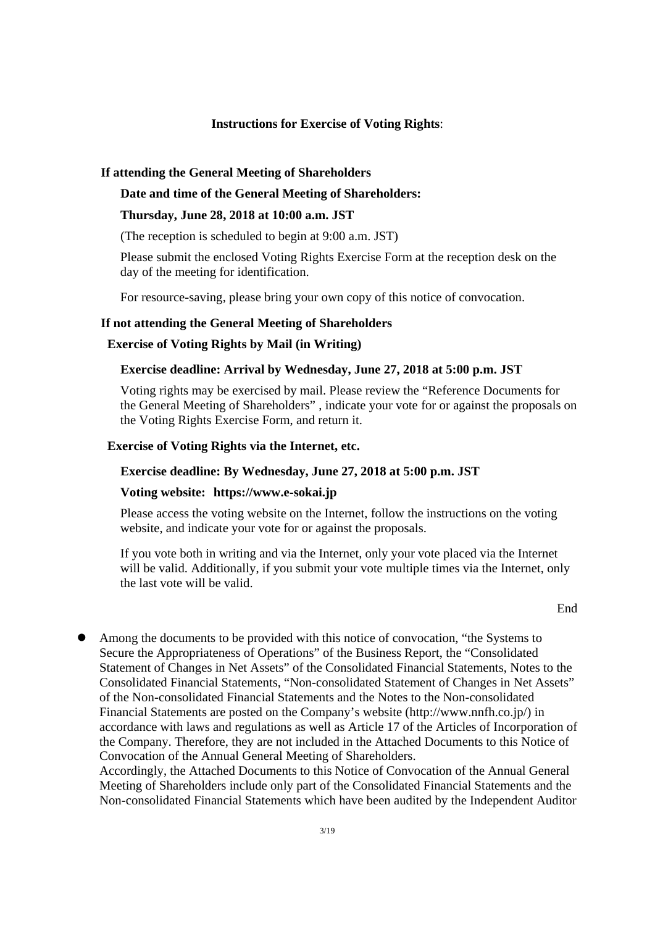#### **Instructions for Exercise of Voting Rights**:

#### **If attending the General Meeting of Shareholders**

#### **Date and time of the General Meeting of Shareholders:**

### **Thursday, June 28, 2018 at 10:00 a.m. JST**

(The reception is scheduled to begin at 9:00 a.m. JST)

Please submit the enclosed Voting Rights Exercise Form at the reception desk on the day of the meeting for identification.

For resource-saving, please bring your own copy of this notice of convocation.

### **If not attending the General Meeting of Shareholders**

## **Exercise of Voting Rights by Mail (in Writing)**

## **Exercise deadline: Arrival by Wednesday, June 27, 2018 at 5:00 p.m. JST**

Voting rights may be exercised by mail. Please review the "Reference Documents for the General Meeting of Shareholders" , indicate your vote for or against the proposals on the Voting Rights Exercise Form, and return it.

## **Exercise of Voting Rights via the Internet, etc.**

# **Exercise deadline: By Wednesday, June 27, 2018 at 5:00 p.m. JST**

## **Voting website: https://www.e-sokai.jp**

Please access the voting website on the Internet, follow the instructions on the voting website, and indicate your vote for or against the proposals.

If you vote both in writing and via the Internet, only your vote placed via the Internet will be valid. Additionally, if you submit your vote multiple times via the Internet, only the last vote will be valid.

#### **End**

 Among the documents to be provided with this notice of convocation, "the Systems to Secure the Appropriateness of Operations" of the Business Report, the "Consolidated Statement of Changes in Net Assets" of the Consolidated Financial Statements, Notes to the Consolidated Financial Statements, "Non-consolidated Statement of Changes in Net Assets" of the Non-consolidated Financial Statements and the Notes to the Non-consolidated Financial Statements are posted on the Company's website (http://www.nnfh.co.jp/) in accordance with laws and regulations as well as Article 17 of the Articles of Incorporation of the Company. Therefore, they are not included in the Attached Documents to this Notice of Convocation of the Annual General Meeting of Shareholders.

Accordingly, the Attached Documents to this Notice of Convocation of the Annual General Meeting of Shareholders include only part of the Consolidated Financial Statements and the Non-consolidated Financial Statements which have been audited by the Independent Auditor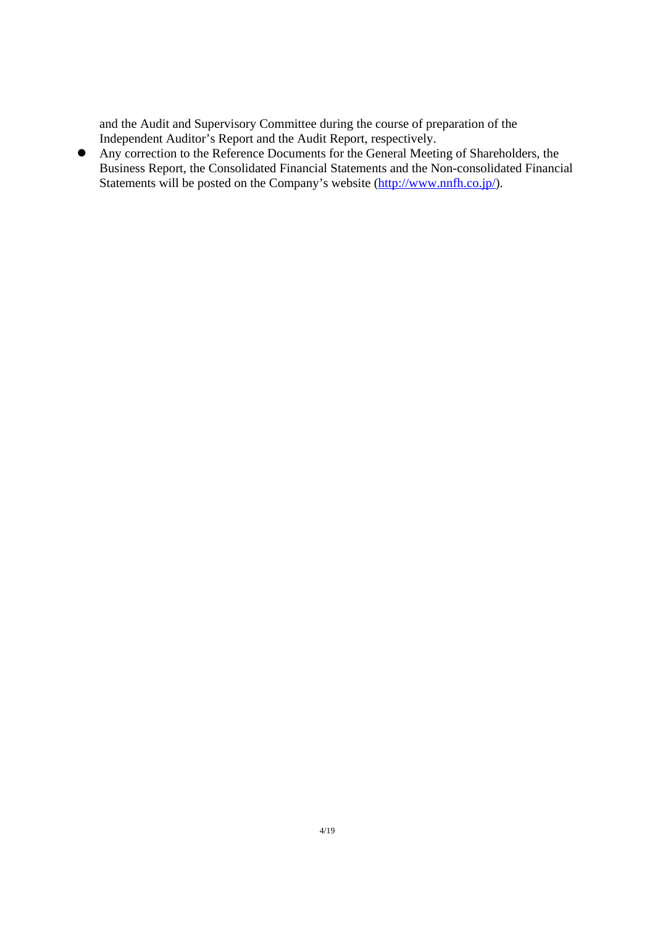and the Audit and Supervisory Committee during the course of preparation of the Independent Auditor's Report and the Audit Report, respectively.

 Any correction to the Reference Documents for the General Meeting of Shareholders, the Business Report, the Consolidated Financial Statements and the Non-consolidated Financial Statements will be posted on the Company's website (http://www.nnfh.co.jp/).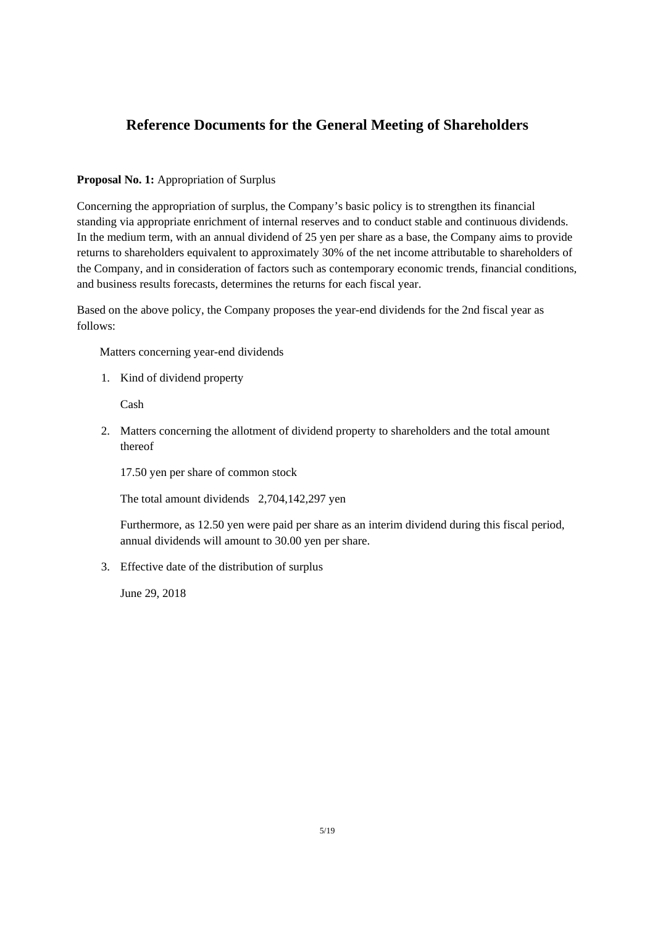# **Reference Documents for the General Meeting of Shareholders**

# **Proposal No. 1:** Appropriation of Surplus

Concerning the appropriation of surplus, the Company's basic policy is to strengthen its financial standing via appropriate enrichment of internal reserves and to conduct stable and continuous dividends. In the medium term, with an annual dividend of 25 yen per share as a base, the Company aims to provide returns to shareholders equivalent to approximately 30% of the net income attributable to shareholders of the Company, and in consideration of factors such as contemporary economic trends, financial conditions, and business results forecasts, determines the returns for each fiscal year.

Based on the above policy, the Company proposes the year-end dividends for the 2nd fiscal year as follows:

Matters concerning year-end dividends

1. Kind of dividend property

Cash

2. Matters concerning the allotment of dividend property to shareholders and the total amount thereof

17.50 yen per share of common stock

The total amount dividends 2,704,142,297 yen

Furthermore, as 12.50 yen were paid per share as an interim dividend during this fiscal period, annual dividends will amount to 30.00 yen per share.

3. Effective date of the distribution of surplus

June 29, 2018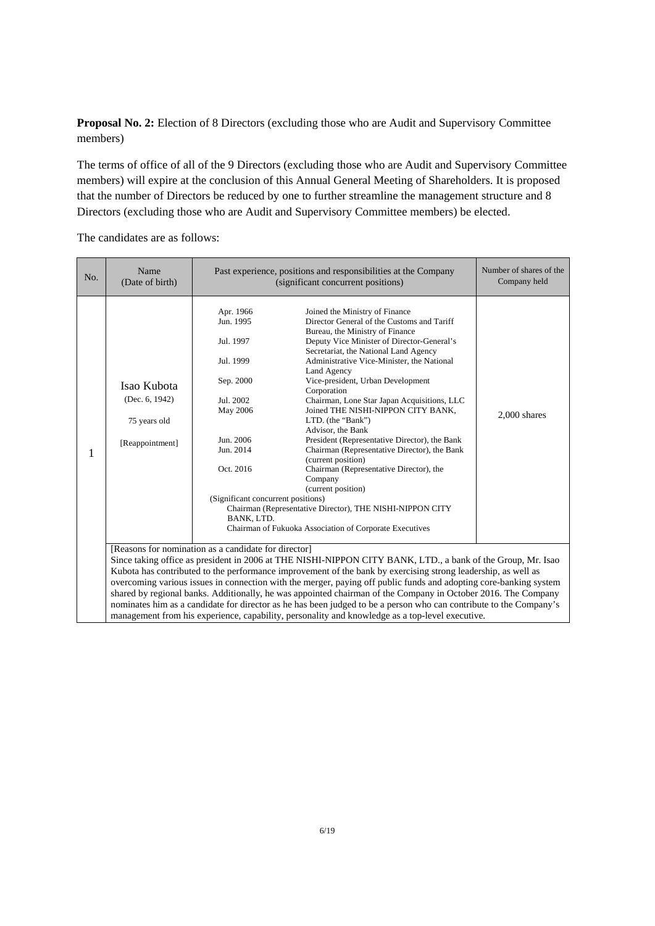**Proposal No. 2:** Election of 8 Directors (excluding those who are Audit and Supervisory Committee members)

The terms of office of all of the 9 Directors (excluding those who are Audit and Supervisory Committee members) will expire at the conclusion of this Annual General Meeting of Shareholders. It is proposed that the number of Directors be reduced by one to further streamline the management structure and 8 Directors (excluding those who are Audit and Supervisory Committee members) be elected.

| No. | Name<br>(Date of birth)                                          | Past experience, positions and responsibilities at the Company<br>(significant concurrent positions)                                                                              | Number of shares of the<br>Company held                                                                                                                                                                                                                                                                                                                                                                                                                                                                                                                                                                                                                                                                                                                                           |                |
|-----|------------------------------------------------------------------|-----------------------------------------------------------------------------------------------------------------------------------------------------------------------------------|-----------------------------------------------------------------------------------------------------------------------------------------------------------------------------------------------------------------------------------------------------------------------------------------------------------------------------------------------------------------------------------------------------------------------------------------------------------------------------------------------------------------------------------------------------------------------------------------------------------------------------------------------------------------------------------------------------------------------------------------------------------------------------------|----------------|
| 1   | Isao Kubota<br>(Dec. 6, 1942)<br>75 years old<br>[Reappointment] | Apr. 1966<br>Jun. 1995<br>Jul. 1997<br>Jul. 1999<br>Sep. 2000<br>Jul. 2002<br>May 2006<br>Jun. 2006<br>Jun. 2014<br>Oct. 2016<br>(Significant concurrent positions)<br>BANK, LTD. | Joined the Ministry of Finance<br>Director General of the Customs and Tariff<br>Bureau, the Ministry of Finance<br>Deputy Vice Minister of Director-General's<br>Secretariat, the National Land Agency<br>Administrative Vice-Minister, the National<br>Land Agency<br>Vice-president, Urban Development<br>Corporation<br>Chairman, Lone Star Japan Acquisitions, LLC<br>Joined THE NISHI-NIPPON CITY BANK,<br>LTD. (the "Bank")<br>Advisor, the Bank<br>President (Representative Director), the Bank<br>Chairman (Representative Director), the Bank<br>(current position)<br>Chairman (Representative Director), the<br>Company<br>(current position)<br>Chairman (Representative Director), THE NISHI-NIPPON CITY<br>Chairman of Fukuoka Association of Corporate Executives | $2.000$ shares |
|     |                                                                  | [Reasons for nomination as a candidate for director]                                                                                                                              | Since taking office as president in 2006 at THE NISHI-NIPPON CITY BANK, LTD., a bank of the Group, Mr. Isao<br>Kubota has contributed to the performance improvement of the bank by exercising strong leadership, as well as<br>overcoming various issues in connection with the merger, paying off public funds and adopting core-banking system<br>shared by regional banks. Additionally, he was appointed chairman of the Company in October 2016. The Company<br>nominates him as a candidate for director as he has been judged to be a person who can contribute to the Company's<br>management from his experience, capability, personality and knowledge as a top-level executive.                                                                                       |                |

The candidates are as follows: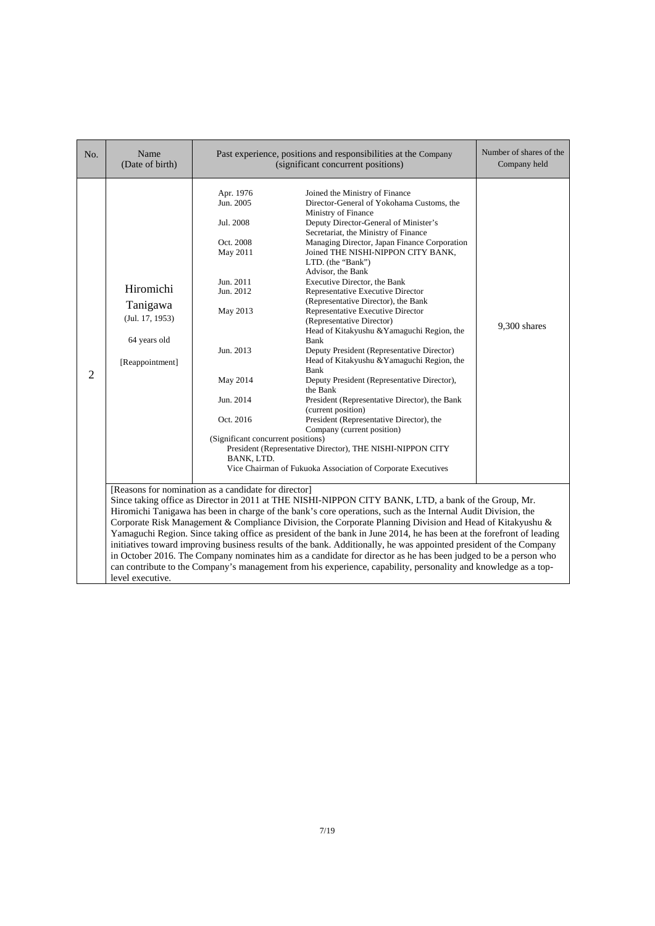| No. | Name<br>(Date of birth)                                                     |                                                                                                                                                                                                           | Past experience, positions and responsibilities at the Company<br>(significant concurrent positions)                                                                                                                                                                                                                                                                                                                                                                                                                                                                                                                                                                                                                                                                                                                                                                                                                                                                                                  | Number of shares of the<br>Company held |
|-----|-----------------------------------------------------------------------------|-----------------------------------------------------------------------------------------------------------------------------------------------------------------------------------------------------------|-------------------------------------------------------------------------------------------------------------------------------------------------------------------------------------------------------------------------------------------------------------------------------------------------------------------------------------------------------------------------------------------------------------------------------------------------------------------------------------------------------------------------------------------------------------------------------------------------------------------------------------------------------------------------------------------------------------------------------------------------------------------------------------------------------------------------------------------------------------------------------------------------------------------------------------------------------------------------------------------------------|-----------------------------------------|
| 2   | Hiromichi<br>Tanigawa<br>(Jul. 17, 1953)<br>64 years old<br>[Reappointment] | Apr. 1976<br>Jun. 2005<br>Jul. 2008<br>Oct. 2008<br>May 2011<br>Jun. 2011<br>Jun. 2012<br>May 2013<br>Jun. 2013<br>May 2014<br>Jun. 2014<br>Oct. 2016<br>(Significant concurrent positions)<br>BANK, LTD. | Joined the Ministry of Finance<br>Director-General of Yokohama Customs, the<br>Ministry of Finance<br>Deputy Director-General of Minister's<br>Secretariat, the Ministry of Finance<br>Managing Director, Japan Finance Corporation<br>Joined THE NISHI-NIPPON CITY BANK,<br>LTD. (the "Bank")<br>Advisor, the Bank<br>Executive Director, the Bank<br>Representative Executive Director<br>(Representative Director), the Bank<br>Representative Executive Director<br>(Representative Director)<br>Head of Kitakyushu & Yamaguchi Region, the<br>Bank<br>Deputy President (Representative Director)<br>Head of Kitakyushu & Yamaguchi Region, the<br>Bank<br>Deputy President (Representative Director),<br>the Bank<br>President (Representative Director), the Bank<br>(current position)<br>President (Representative Director), the<br>Company (current position)<br>President (Representative Director), THE NISHI-NIPPON CITY<br>Vice Chairman of Fukuoka Association of Corporate Executives | 9,300 shares                            |
|     | level executive.                                                            | [Reasons for nomination as a candidate for director]                                                                                                                                                      | Since taking office as Director in 2011 at THE NISHI-NIPPON CITY BANK, LTD, a bank of the Group, Mr.<br>Hiromichi Tanigawa has been in charge of the bank's core operations, such as the Internal Audit Division, the<br>Corporate Risk Management & Compliance Division, the Corporate Planning Division and Head of Kitakyushu &<br>Yamaguchi Region. Since taking office as president of the bank in June 2014, he has been at the forefront of leading<br>initiatives toward improving business results of the bank. Additionally, he was appointed president of the Company<br>in October 2016. The Company nominates him as a candidate for director as he has been judged to be a person who<br>can contribute to the Company's management from his experience, capability, personality and knowledge as a top-                                                                                                                                                                                |                                         |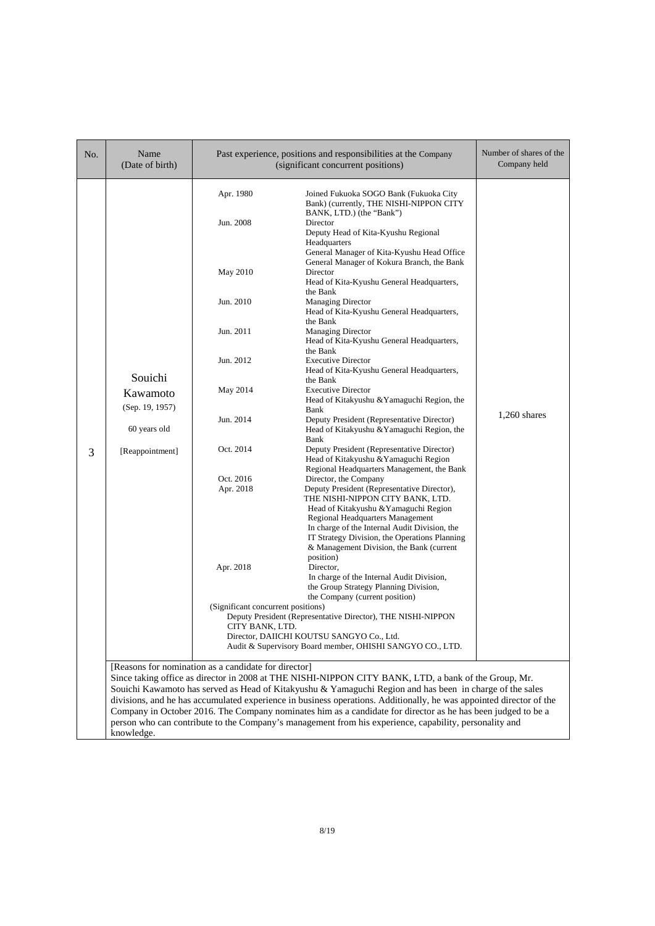| No. | Name<br>(Date of birth)                                                   |                                                                                                                                           | Past experience, positions and responsibilities at the Company<br>(significant concurrent positions)                                                                                                                                                                                                                                                                                                                                                                                                                                                                                                                                                                                                                                                                                                                                                                                                                                                                                                                                                                                                                                                                                    | Number of shares of the<br>Company held |
|-----|---------------------------------------------------------------------------|-------------------------------------------------------------------------------------------------------------------------------------------|-----------------------------------------------------------------------------------------------------------------------------------------------------------------------------------------------------------------------------------------------------------------------------------------------------------------------------------------------------------------------------------------------------------------------------------------------------------------------------------------------------------------------------------------------------------------------------------------------------------------------------------------------------------------------------------------------------------------------------------------------------------------------------------------------------------------------------------------------------------------------------------------------------------------------------------------------------------------------------------------------------------------------------------------------------------------------------------------------------------------------------------------------------------------------------------------|-----------------------------------------|
| 3   | Souichi<br>Kawamoto<br>(Sep. 19, 1957)<br>60 years old<br>[Reappointment] | Apr. 1980<br>Jun. 2008<br>May 2010<br>Jun. 2010<br>Jun. 2011<br>Jun. 2012<br>May 2014<br>Jun. 2014<br>Oct. 2014<br>Oct. 2016<br>Apr. 2018 | Joined Fukuoka SOGO Bank (Fukuoka City<br>Bank) (currently, THE NISHI-NIPPON CITY<br>BANK, LTD.) (the "Bank")<br>Director<br>Deputy Head of Kita-Kyushu Regional<br>Headquarters<br>General Manager of Kita-Kyushu Head Office<br>General Manager of Kokura Branch, the Bank<br>Director<br>Head of Kita-Kyushu General Headquarters,<br>the Bank<br><b>Managing Director</b><br>Head of Kita-Kyushu General Headquarters,<br>the Bank<br><b>Managing Director</b><br>Head of Kita-Kyushu General Headquarters,<br>the Bank<br><b>Executive Director</b><br>Head of Kita-Kyushu General Headquarters,<br>the Bank<br><b>Executive Director</b><br>Head of Kitakyushu & Yamaguchi Region, the<br>Bank<br>Deputy President (Representative Director)<br>Head of Kitakyushu & Yamaguchi Region, the<br>Bank<br>Deputy President (Representative Director)<br>Head of Kitakyushu & Yamaguchi Region<br>Regional Headquarters Management, the Bank<br>Director, the Company<br>Deputy President (Representative Director),<br>THE NISHI-NIPPON CITY BANK, LTD.<br>Head of Kitakyushu & Yamaguchi Region<br>Regional Headquarters Management<br>In charge of the Internal Audit Division, the | $1,260$ shares                          |
|     |                                                                           | Apr. 2018                                                                                                                                 | IT Strategy Division, the Operations Planning<br>& Management Division, the Bank (current<br>position)<br>Director,<br>In charge of the Internal Audit Division,<br>the Group Strategy Planning Division,<br>the Company (current position)                                                                                                                                                                                                                                                                                                                                                                                                                                                                                                                                                                                                                                                                                                                                                                                                                                                                                                                                             |                                         |
|     |                                                                           | (Significant concurrent positions)<br>CITY BANK, LTD.                                                                                     | Deputy President (Representative Director), THE NISHI-NIPPON<br>Director, DAIICHI KOUTSU SANGYO Co., Ltd.<br>Audit & Supervisory Board member, OHISHI SANGYO CO., LTD.                                                                                                                                                                                                                                                                                                                                                                                                                                                                                                                                                                                                                                                                                                                                                                                                                                                                                                                                                                                                                  |                                         |
|     | knowledge.                                                                | [Reasons for nomination as a candidate for director]                                                                                      | Since taking office as director in 2008 at THE NISHI-NIPPON CITY BANK, LTD, a bank of the Group, Mr.<br>Souichi Kawamoto has served as Head of Kitakyushu & Yamaguchi Region and has been in charge of the sales<br>divisions, and he has accumulated experience in business operations. Additionally, he was appointed director of the<br>Company in October 2016. The Company nominates him as a candidate for director as he has been judged to be a<br>person who can contribute to the Company's management from his experience, capability, personality and                                                                                                                                                                                                                                                                                                                                                                                                                                                                                                                                                                                                                       |                                         |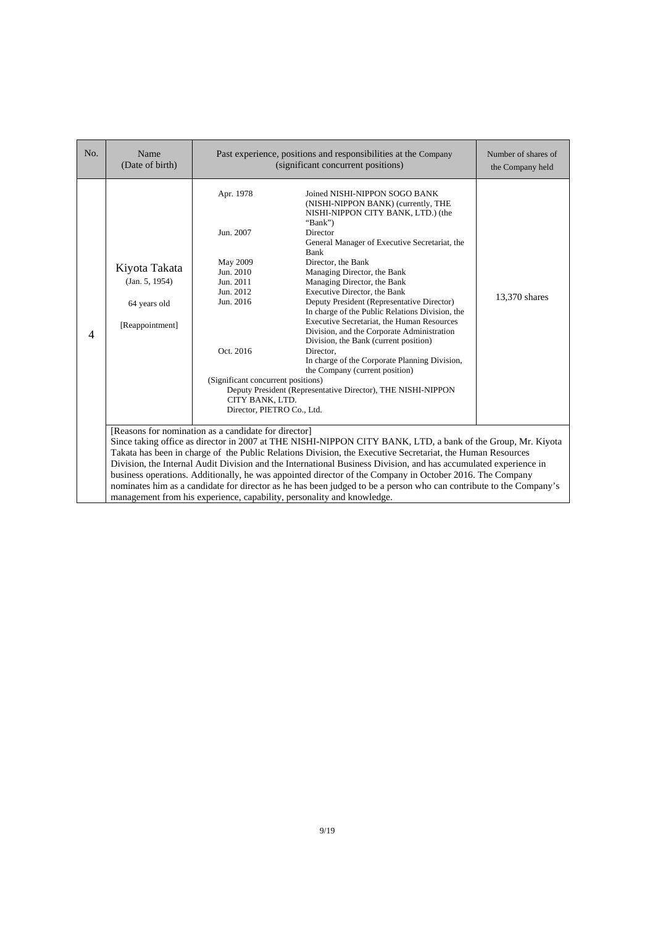| No. | Name<br>(Date of birth)                                            |                                                                                                                                                                                            | Past experience, positions and responsibilities at the Company<br>(significant concurrent positions)                                                                                                                                                                                                                                                                                                                                                                                                                                                                                                                                                                                                                 | Number of shares of<br>the Company held |
|-----|--------------------------------------------------------------------|--------------------------------------------------------------------------------------------------------------------------------------------------------------------------------------------|----------------------------------------------------------------------------------------------------------------------------------------------------------------------------------------------------------------------------------------------------------------------------------------------------------------------------------------------------------------------------------------------------------------------------------------------------------------------------------------------------------------------------------------------------------------------------------------------------------------------------------------------------------------------------------------------------------------------|-----------------------------------------|
| 4   | Kiyota Takata<br>(Jan. 5, 1954)<br>64 years old<br>[Reappointment] | Apr. 1978<br>Jun. 2007<br>May 2009<br>Jun. 2010<br>Jun. 2011<br>Jun. 2012<br>Jun. 2016<br>Oct. 2016<br>(Significant concurrent positions)<br>CITY BANK, LTD.<br>Director, PIETRO Co., Ltd. | Joined NISHI-NIPPON SOGO BANK<br>(NISHI-NIPPON BANK) (currently, THE<br>NISHI-NIPPON CITY BANK, LTD.) (the<br>"Bank")<br>Director<br>General Manager of Executive Secretariat, the<br>Bank<br>Director, the Bank<br>Managing Director, the Bank<br>Managing Director, the Bank<br>Executive Director, the Bank<br>Deputy President (Representative Director)<br>In charge of the Public Relations Division, the<br>Executive Secretariat, the Human Resources<br>Division, and the Corporate Administration<br>Division, the Bank (current position)<br>Director,<br>In charge of the Corporate Planning Division,<br>the Company (current position)<br>Deputy President (Representative Director), THE NISHI-NIPPON | 13,370 shares                           |
|     |                                                                    | [Reasons for nomination as a candidate for director]                                                                                                                                       | Since taking office as director in 2007 at THE NISHI-NIPPON CITY BANK, LTD, a bank of the Group, Mr. Kiyota<br>Takata has been in charge of the Public Relations Division, the Executive Secretariat, the Human Resources<br>Division, the Internal Audit Division and the International Business Division, and has accumulated experience in<br>business operations. Additionally, he was appointed director of the Company in October 2016. The Company<br>nominates him as a candidate for director as he has been judged to be a person who can contribute to the Company's<br>management from his experience, capability, personality and knowledge.                                                            |                                         |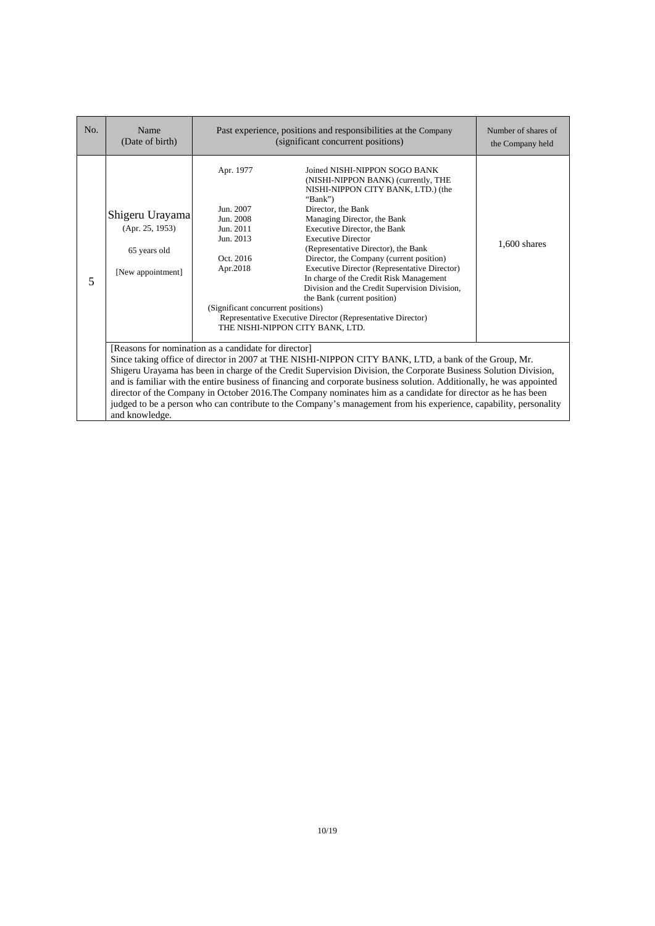| No. | Name<br>(Date of birth)                                                 | Past experience, positions and responsibilities at the Company<br>(significant concurrent positions)                         |                                                                                                                                                                                                                                                                                                                                                                                                                                                                                                                                                                                                          | Number of shares of<br>the Company held |
|-----|-------------------------------------------------------------------------|------------------------------------------------------------------------------------------------------------------------------|----------------------------------------------------------------------------------------------------------------------------------------------------------------------------------------------------------------------------------------------------------------------------------------------------------------------------------------------------------------------------------------------------------------------------------------------------------------------------------------------------------------------------------------------------------------------------------------------------------|-----------------------------------------|
| 5   | Shigeru Urayama<br>(Apr. 25, 1953)<br>65 years old<br>[New appointment] | Apr. 1977<br>Jun. 2007<br>Jun. 2008<br>Jun. 2011<br>Jun. 2013<br>Oct. 2016<br>Apr.2018<br>(Significant concurrent positions) | Joined NISHI-NIPPON SOGO BANK<br>(NISHI-NIPPON BANK) (currently, THE<br>NISHI-NIPPON CITY BANK, LTD.) (the<br>"Bank")<br>Director, the Bank<br>Managing Director, the Bank<br>Executive Director, the Bank<br><b>Executive Director</b><br>(Representative Director), the Bank<br>Director, the Company (current position)<br>Executive Director (Representative Director)<br>In charge of the Credit Risk Management<br>Division and the Credit Supervision Division,<br>the Bank (current position)<br>Representative Executive Director (Representative Director)<br>THE NISHI-NIPPON CITY BANK, LTD. | $1,600$ shares                          |
|     | and knowledge.                                                          | [Reasons for nomination as a candidate for director]                                                                         | Since taking office of director in 2007 at THE NISHI-NIPPON CITY BANK, LTD, a bank of the Group, Mr.<br>Shigeru Urayama has been in charge of the Credit Supervision Division, the Corporate Business Solution Division,<br>and is familiar with the entire business of financing and corporate business solution. Additionally, he was appointed<br>director of the Company in October 2016. The Company nominates him as a candidate for director as he has been<br>judged to be a person who can contribute to the Company's management from his experience, capability, personality                  |                                         |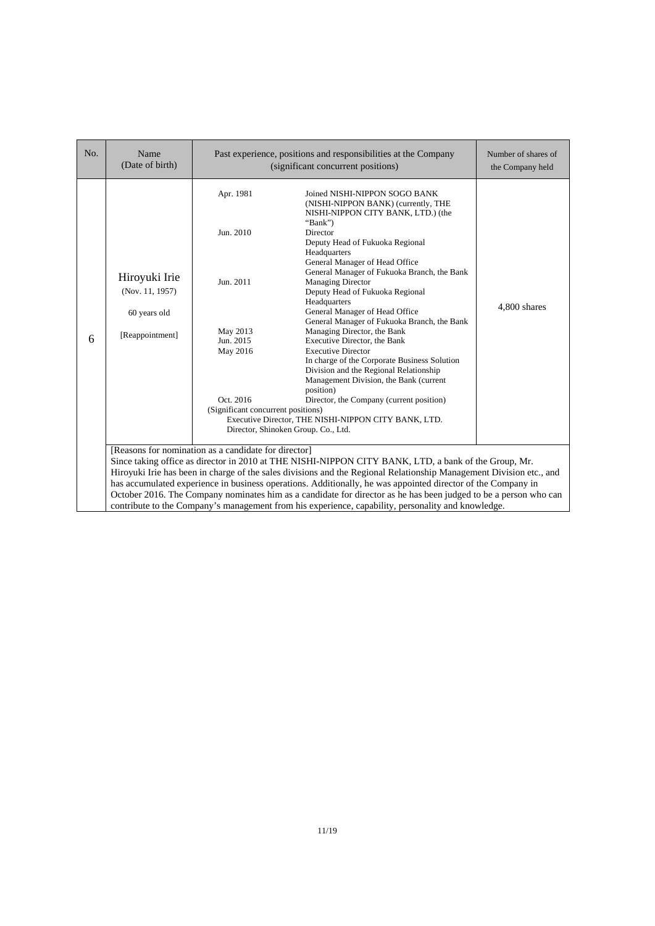| No. | Name<br>(Date of birth)                                                                                                                                                                                                                                                                                                                                                                                                                                                                                                                                                                                                       |                                                                                                                             | Past experience, positions and responsibilities at the Company<br>(significant concurrent positions)                                                                                                                                                                                                                                                                                                                                                                                                                                                                                                                                                                                                                                                                                                                          | Number of shares of<br>the Company held |
|-----|-------------------------------------------------------------------------------------------------------------------------------------------------------------------------------------------------------------------------------------------------------------------------------------------------------------------------------------------------------------------------------------------------------------------------------------------------------------------------------------------------------------------------------------------------------------------------------------------------------------------------------|-----------------------------------------------------------------------------------------------------------------------------|-------------------------------------------------------------------------------------------------------------------------------------------------------------------------------------------------------------------------------------------------------------------------------------------------------------------------------------------------------------------------------------------------------------------------------------------------------------------------------------------------------------------------------------------------------------------------------------------------------------------------------------------------------------------------------------------------------------------------------------------------------------------------------------------------------------------------------|-----------------------------------------|
| 6   | Hiroyuki Irie<br>(Nov. 11, 1957)<br>60 years old<br>[Reappointment]                                                                                                                                                                                                                                                                                                                                                                                                                                                                                                                                                           | Apr. 1981<br>Jun. 2010<br>Jun. 2011<br>May 2013<br>Jun. 2015<br>May 2016<br>Oct. 2016<br>(Significant concurrent positions) | Joined NISHI-NIPPON SOGO BANK<br>(NISHI-NIPPON BANK) (currently, THE<br>NISHI-NIPPON CITY BANK, LTD.) (the<br>"Bank")<br>Director<br>Deputy Head of Fukuoka Regional<br>Headquarters<br>General Manager of Head Office<br>General Manager of Fukuoka Branch, the Bank<br><b>Managing Director</b><br>Deputy Head of Fukuoka Regional<br>Headquarters<br>General Manager of Head Office<br>General Manager of Fukuoka Branch, the Bank<br>Managing Director, the Bank<br>Executive Director, the Bank<br><b>Executive Director</b><br>In charge of the Corporate Business Solution<br>Division and the Regional Relationship<br>Management Division, the Bank (current<br>position)<br>Director, the Company (current position)<br>Executive Director, THE NISHI-NIPPON CITY BANK, LTD.<br>Director, Shinoken Group. Co., Ltd. | 4,800 shares                            |
|     | [Reasons for nomination as a candidate for director]<br>Since taking office as director in 2010 at THE NISHI-NIPPON CITY BANK, LTD, a bank of the Group, Mr.<br>Hiroyuki Irie has been in charge of the sales divisions and the Regional Relationship Management Division etc., and<br>has accumulated experience in business operations. Additionally, he was appointed director of the Company in<br>October 2016. The Company nominates him as a candidate for director as he has been judged to be a person who can<br>contribute to the Company's management from his experience, capability, personality and knowledge. |                                                                                                                             |                                                                                                                                                                                                                                                                                                                                                                                                                                                                                                                                                                                                                                                                                                                                                                                                                               |                                         |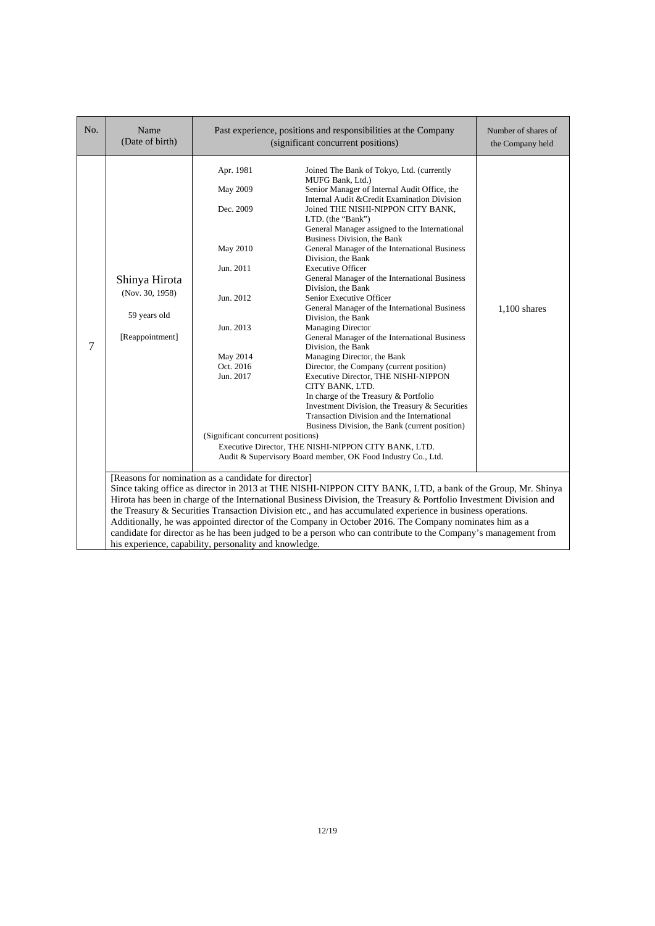| No. | Name<br>(Date of birth)                                                                                                                                                                                                                                                                                                                                                                                                                                                                                                                                                                                                                                                                         |                                                                                                                                                                   | Past experience, positions and responsibilities at the Company<br>(significant concurrent positions)                                                                                                                                                                                                                                                                                                                                                                                                                                                                                                                                                                                                                                                                                                                                                                                                                                                                                                                                                                                                                                              | Number of shares of<br>the Company held |
|-----|-------------------------------------------------------------------------------------------------------------------------------------------------------------------------------------------------------------------------------------------------------------------------------------------------------------------------------------------------------------------------------------------------------------------------------------------------------------------------------------------------------------------------------------------------------------------------------------------------------------------------------------------------------------------------------------------------|-------------------------------------------------------------------------------------------------------------------------------------------------------------------|---------------------------------------------------------------------------------------------------------------------------------------------------------------------------------------------------------------------------------------------------------------------------------------------------------------------------------------------------------------------------------------------------------------------------------------------------------------------------------------------------------------------------------------------------------------------------------------------------------------------------------------------------------------------------------------------------------------------------------------------------------------------------------------------------------------------------------------------------------------------------------------------------------------------------------------------------------------------------------------------------------------------------------------------------------------------------------------------------------------------------------------------------|-----------------------------------------|
| 7   | Shinya Hirota<br>(Nov. 30, 1958)<br>59 years old<br>[Reappointment]                                                                                                                                                                                                                                                                                                                                                                                                                                                                                                                                                                                                                             | Apr. 1981<br>May 2009<br>Dec. 2009<br>May 2010<br>Jun. 2011<br>Jun. 2012<br>Jun. 2013<br>May 2014<br>Oct. 2016<br>Jun. 2017<br>(Significant concurrent positions) | Joined The Bank of Tokyo, Ltd. (currently<br>MUFG Bank, Ltd.)<br>Senior Manager of Internal Audit Office, the<br>Internal Audit & Credit Examination Division<br>Joined THE NISHI-NIPPON CITY BANK,<br>LTD. (the "Bank")<br>General Manager assigned to the International<br>Business Division, the Bank<br>General Manager of the International Business<br>Division, the Bank<br><b>Executive Officer</b><br>General Manager of the International Business<br>Division, the Bank<br>Senior Executive Officer<br>General Manager of the International Business<br>Division, the Bank<br><b>Managing Director</b><br>General Manager of the International Business<br>Division, the Bank<br>Managing Director, the Bank<br>Director, the Company (current position)<br>Executive Director, THE NISHI-NIPPON<br>CITY BANK, LTD.<br>In charge of the Treasury & Portfolio<br>Investment Division, the Treasury & Securities<br>Transaction Division and the International<br>Business Division, the Bank (current position)<br>Executive Director, THE NISHI-NIPPON CITY BANK, LTD.<br>Audit & Supervisory Board member, OK Food Industry Co., Ltd. | $1,100$ shares                          |
|     | [Reasons for nomination as a candidate for director]<br>Since taking office as director in 2013 at THE NISHI-NIPPON CITY BANK, LTD, a bank of the Group, Mr. Shinya<br>Hirota has been in charge of the International Business Division, the Treasury & Portfolio Investment Division and<br>the Treasury & Securities Transaction Division etc., and has accumulated experience in business operations.<br>Additionally, he was appointed director of the Company in October 2016. The Company nominates him as a<br>candidate for director as he has been judged to be a person who can contribute to the Company's management from<br>his experience, capability, personality and knowledge. |                                                                                                                                                                   |                                                                                                                                                                                                                                                                                                                                                                                                                                                                                                                                                                                                                                                                                                                                                                                                                                                                                                                                                                                                                                                                                                                                                   |                                         |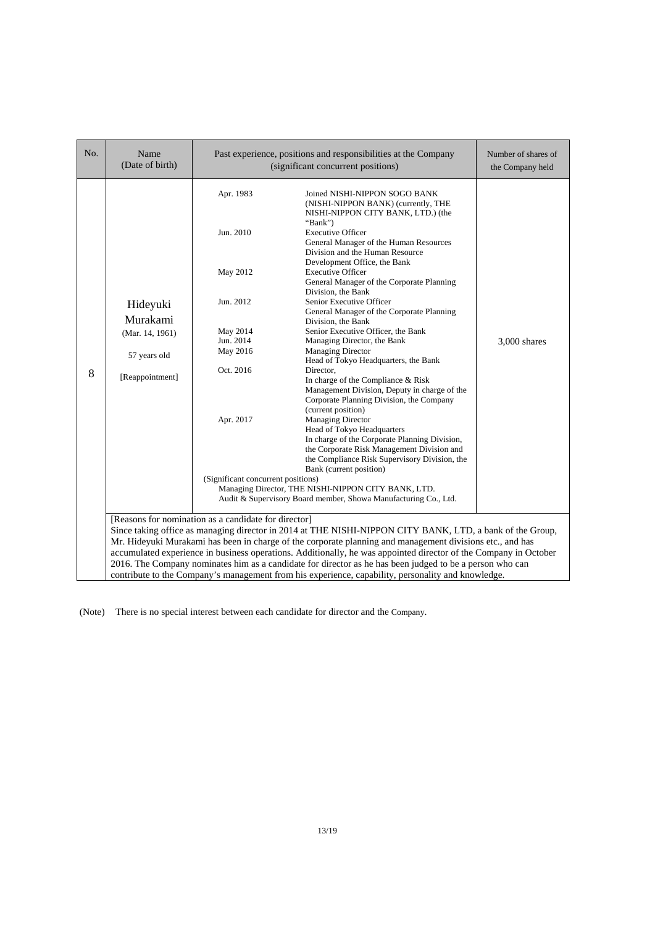| No. | Name<br>(Date of birth)                                                                                                                                                                                                                                                                                                                                                                                                                                                                                                                                                                                              |                                                                                                                                                      | Past experience, positions and responsibilities at the Company<br>(significant concurrent positions)                                                                                                                                                                                                                                                                                                                                                                                                                                                                                                                                                                                                                                                                                                                                                                                                                                                                                                                                                                                                                                         | Number of shares of<br>the Company held |
|-----|----------------------------------------------------------------------------------------------------------------------------------------------------------------------------------------------------------------------------------------------------------------------------------------------------------------------------------------------------------------------------------------------------------------------------------------------------------------------------------------------------------------------------------------------------------------------------------------------------------------------|------------------------------------------------------------------------------------------------------------------------------------------------------|----------------------------------------------------------------------------------------------------------------------------------------------------------------------------------------------------------------------------------------------------------------------------------------------------------------------------------------------------------------------------------------------------------------------------------------------------------------------------------------------------------------------------------------------------------------------------------------------------------------------------------------------------------------------------------------------------------------------------------------------------------------------------------------------------------------------------------------------------------------------------------------------------------------------------------------------------------------------------------------------------------------------------------------------------------------------------------------------------------------------------------------------|-----------------------------------------|
| 8   | Hideyuki<br>Murakami<br>(Mar. 14, 1961)<br>57 years old<br>[Reappointment]                                                                                                                                                                                                                                                                                                                                                                                                                                                                                                                                           | Apr. 1983<br>Jun. 2010<br>May 2012<br>Jun. 2012<br>May 2014<br>Jun. 2014<br>May 2016<br>Oct. 2016<br>Apr. 2017<br>(Significant concurrent positions) | Joined NISHI-NIPPON SOGO BANK<br>(NISHI-NIPPON BANK) (currently, THE<br>NISHI-NIPPON CITY BANK, LTD.) (the<br>"Bank" $)$<br><b>Executive Officer</b><br>General Manager of the Human Resources<br>Division and the Human Resource<br>Development Office, the Bank<br><b>Executive Officer</b><br>General Manager of the Corporate Planning<br>Division, the Bank<br>Senior Executive Officer<br>General Manager of the Corporate Planning<br>Division, the Bank<br>Senior Executive Officer, the Bank<br>Managing Director, the Bank<br><b>Managing Director</b><br>Head of Tokyo Headquarters, the Bank<br>Director.<br>In charge of the Compliance & Risk<br>Management Division, Deputy in charge of the<br>Corporate Planning Division, the Company<br>(current position)<br><b>Managing Director</b><br>Head of Tokyo Headquarters<br>In charge of the Corporate Planning Division,<br>the Corporate Risk Management Division and<br>the Compliance Risk Supervisory Division, the<br>Bank (current position)<br>Managing Director, THE NISHI-NIPPON CITY BANK, LTD.<br>Audit & Supervisory Board member, Showa Manufacturing Co., Ltd. | 3,000 shares                            |
|     | [Reasons for nomination as a candidate for director]<br>Since taking office as managing director in 2014 at THE NISHI-NIPPON CITY BANK, LTD, a bank of the Group,<br>Mr. Hideyuki Murakami has been in charge of the corporate planning and management divisions etc., and has<br>accumulated experience in business operations. Additionally, he was appointed director of the Company in October<br>2016. The Company nominates him as a candidate for director as he has been judged to be a person who can<br>contribute to the Company's management from his experience, capability, personality and knowledge. |                                                                                                                                                      |                                                                                                                                                                                                                                                                                                                                                                                                                                                                                                                                                                                                                                                                                                                                                                                                                                                                                                                                                                                                                                                                                                                                              |                                         |

(Note) There is no special interest between each candidate for director and the Company.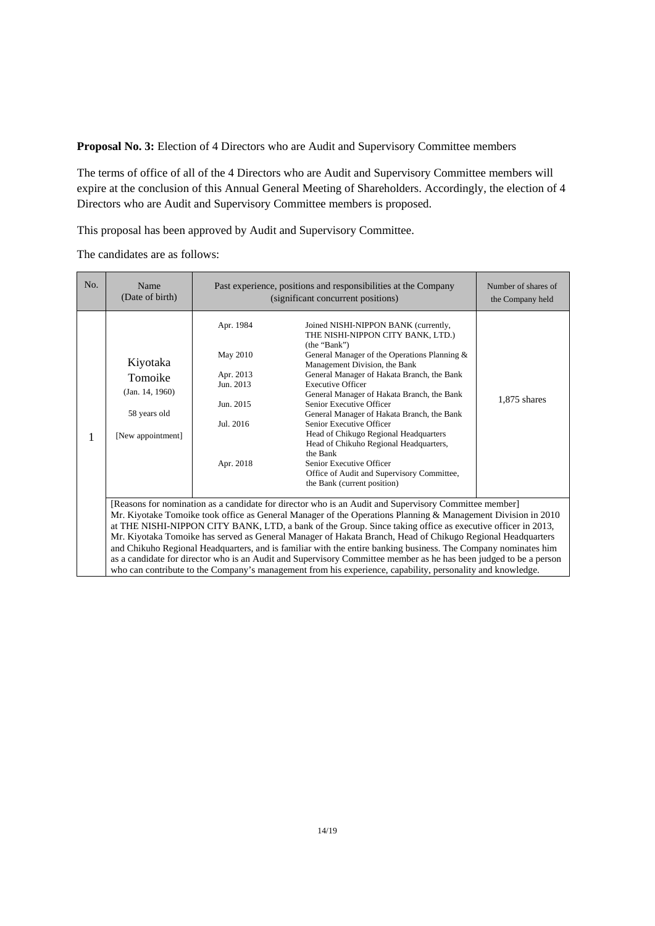**Proposal No. 3:** Election of 4 Directors who are Audit and Supervisory Committee members

The terms of office of all of the 4 Directors who are Audit and Supervisory Committee members will expire at the conclusion of this Annual General Meeting of Shareholders. Accordingly, the election of 4 Directors who are Audit and Supervisory Committee members is proposed.

This proposal has been approved by Audit and Supervisory Committee.

The candidates are as follows:

| No. | Name<br>(Date of birth)                                                                                                                                                                                                                                                                                                                                                                                                                                                                                                                                                                                                                                                                                                                                                                                | Past experience, positions and responsibilities at the Company<br>(significant concurrent positions) | Number of shares of<br>the Company held                                                                                                                                                                                                                                                                                                                                                                                                                                                                                                                                                                          |                |
|-----|--------------------------------------------------------------------------------------------------------------------------------------------------------------------------------------------------------------------------------------------------------------------------------------------------------------------------------------------------------------------------------------------------------------------------------------------------------------------------------------------------------------------------------------------------------------------------------------------------------------------------------------------------------------------------------------------------------------------------------------------------------------------------------------------------------|------------------------------------------------------------------------------------------------------|------------------------------------------------------------------------------------------------------------------------------------------------------------------------------------------------------------------------------------------------------------------------------------------------------------------------------------------------------------------------------------------------------------------------------------------------------------------------------------------------------------------------------------------------------------------------------------------------------------------|----------------|
| 1   | Kiyotaka<br>Tomoike<br>(Jan. 14, 1960)<br>58 years old<br>[New appointment]                                                                                                                                                                                                                                                                                                                                                                                                                                                                                                                                                                                                                                                                                                                            | Apr. 1984<br>May 2010<br>Apr. 2013<br>Jun. 2013<br>Jun. 2015<br>Jul. 2016<br>Apr. 2018               | Joined NISHI-NIPPON BANK (currently,<br>THE NISHI-NIPPON CITY BANK, LTD.)<br>(the "Bank")<br>General Manager of the Operations Planning &<br>Management Division, the Bank<br>General Manager of Hakata Branch, the Bank<br><b>Executive Officer</b><br>General Manager of Hakata Branch, the Bank<br>Senior Executive Officer<br>General Manager of Hakata Branch, the Bank<br>Senior Executive Officer<br>Head of Chikugo Regional Headquarters<br>Head of Chikuho Regional Headquarters,<br>the Bank<br>Senior Executive Officer<br>Office of Audit and Supervisory Committee,<br>the Bank (current position) | $1,875$ shares |
|     | [Reasons for nomination as a candidate for director who is an Audit and Supervisory Committee member]<br>Mr. Kiyotake Tomoike took office as General Manager of the Operations Planning & Management Division in 2010<br>at THE NISHI-NIPPON CITY BANK, LTD, a bank of the Group. Since taking office as executive officer in 2013,<br>Mr. Kiyotaka Tomoike has served as General Manager of Hakata Branch, Head of Chikugo Regional Headquarters<br>and Chikuho Regional Headquarters, and is familiar with the entire banking business. The Company nominates him<br>as a candidate for director who is an Audit and Supervisory Committee member as he has been judged to be a person<br>who can contribute to the Company's management from his experience, capability, personality and knowledge. |                                                                                                      |                                                                                                                                                                                                                                                                                                                                                                                                                                                                                                                                                                                                                  |                |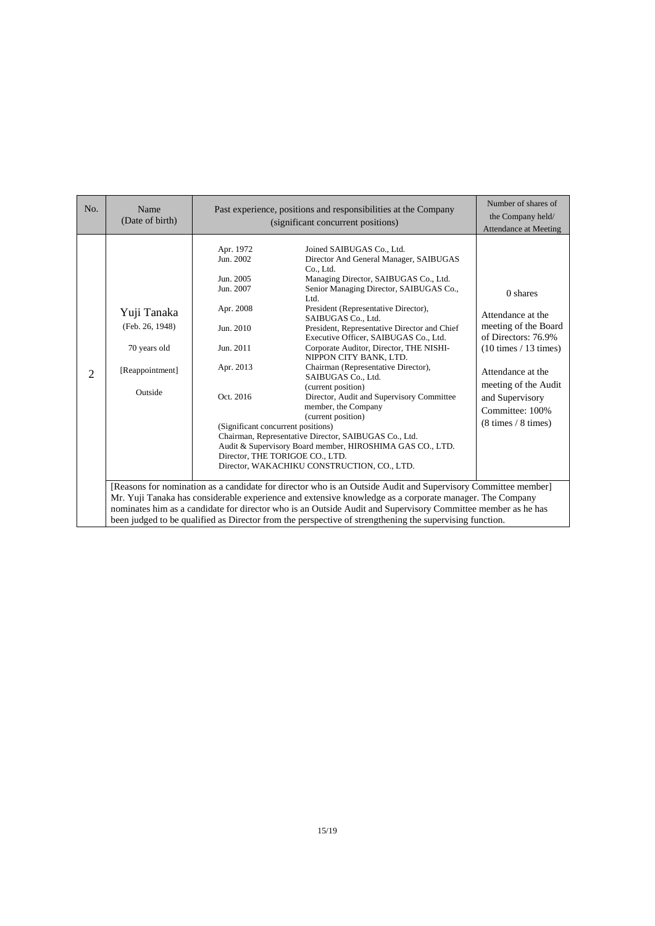| No.            | Name<br>(Date of birth)                                                                                                                                                                                                                                                                                                                                                                                                                             | Past experience, positions and responsibilities at the Company<br>(significant concurrent positions)                                                    |                                                                                                                                                                                                                                                                                                                                                                                                                                                                                                                                                                                                                                                                                                                                                                                               | Number of shares of<br>the Company held/<br><b>Attendance at Meeting</b>                                                                                                                                                  |
|----------------|-----------------------------------------------------------------------------------------------------------------------------------------------------------------------------------------------------------------------------------------------------------------------------------------------------------------------------------------------------------------------------------------------------------------------------------------------------|---------------------------------------------------------------------------------------------------------------------------------------------------------|-----------------------------------------------------------------------------------------------------------------------------------------------------------------------------------------------------------------------------------------------------------------------------------------------------------------------------------------------------------------------------------------------------------------------------------------------------------------------------------------------------------------------------------------------------------------------------------------------------------------------------------------------------------------------------------------------------------------------------------------------------------------------------------------------|---------------------------------------------------------------------------------------------------------------------------------------------------------------------------------------------------------------------------|
| $\overline{2}$ | Yuji Tanaka<br>(Feb. 26, 1948)<br>70 years old<br>[Reappointment]<br>Outside                                                                                                                                                                                                                                                                                                                                                                        | Apr. 1972<br>Jun. 2002<br>Jun. 2005<br>Jun. 2007<br>Apr. 2008<br>Jun. 2010<br>Jun. 2011<br>Apr. 2013<br>Oct. 2016<br>(Significant concurrent positions) | Joined SAIBUGAS Co., Ltd.<br>Director And General Manager, SAIBUGAS<br>Co., Ltd.<br>Managing Director, SAIBUGAS Co., Ltd.<br>Senior Managing Director, SAIBUGAS Co.,<br>Ltd.<br>President (Representative Director),<br>SAIBUGAS Co., Ltd.<br>President, Representative Director and Chief<br>Executive Officer, SAIBUGAS Co., Ltd.<br>Corporate Auditor, Director, THE NISHI-<br>NIPPON CITY BANK, LTD.<br>Chairman (Representative Director),<br>SAIBUGAS Co., Ltd.<br>(current position)<br>Director, Audit and Supervisory Committee<br>member, the Company<br>(current position)<br>Chairman, Representative Director, SAIBUGAS Co., Ltd.<br>Audit & Supervisory Board member, HIROSHIMA GAS CO., LTD.<br>Director, THE TORIGOE CO., LTD.<br>Director, WAKACHIKU CONSTRUCTION, CO., LTD. | 0 shares<br>Attendance at the<br>meeting of the Board<br>of Directors: 76.9%<br>$(10 \times / 13 \times )$<br>Attendance at the<br>meeting of the Audit<br>and Supervisory<br>Committee: 100%<br>$(8 \times / 8 \times )$ |
|                | [Reasons for nomination as a candidate for director who is an Outside Audit and Supervisory Committee member]<br>Mr. Yuji Tanaka has considerable experience and extensive knowledge as a corporate manager. The Company<br>nominates him as a candidate for director who is an Outside Audit and Supervisory Committee member as he has<br>been judged to be qualified as Director from the perspective of strengthening the supervising function. |                                                                                                                                                         |                                                                                                                                                                                                                                                                                                                                                                                                                                                                                                                                                                                                                                                                                                                                                                                               |                                                                                                                                                                                                                           |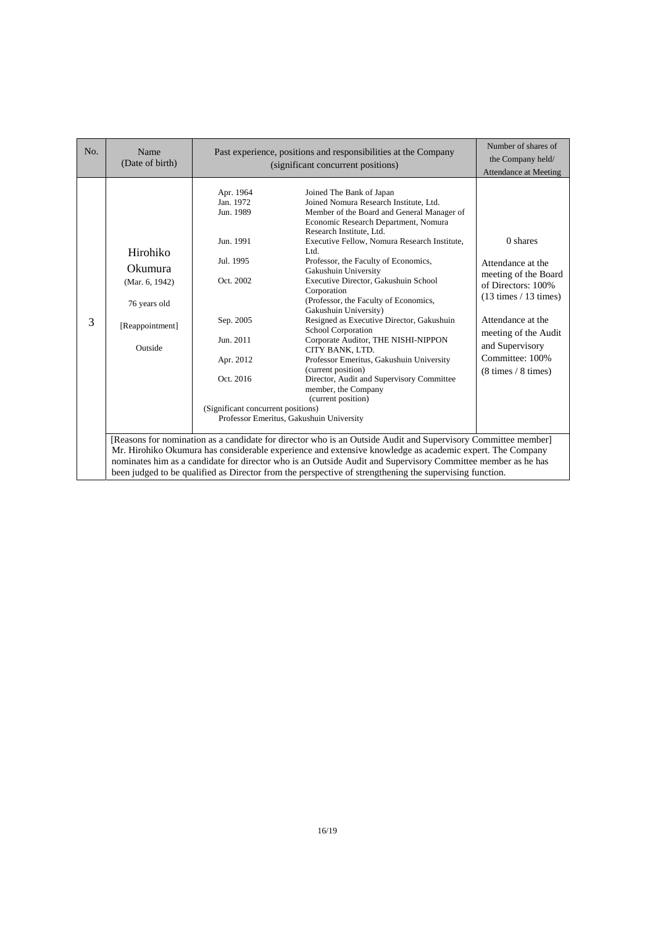| No. | Name<br>(Date of birth)                                                                                                                                                                                                                                                                                                                                                                                                                              | Past experience, positions and responsibilities at the Company<br>(significant concurrent positions)                                                                 |                                                                                                                                                                                                                                                                                                                                                                                                                                                                                                                                                                                                                                                                                                                                                                                   | Number of shares of<br>the Company held/<br><b>Attendance at Meeting</b>                                                                                                                                                   |  |
|-----|------------------------------------------------------------------------------------------------------------------------------------------------------------------------------------------------------------------------------------------------------------------------------------------------------------------------------------------------------------------------------------------------------------------------------------------------------|----------------------------------------------------------------------------------------------------------------------------------------------------------------------|-----------------------------------------------------------------------------------------------------------------------------------------------------------------------------------------------------------------------------------------------------------------------------------------------------------------------------------------------------------------------------------------------------------------------------------------------------------------------------------------------------------------------------------------------------------------------------------------------------------------------------------------------------------------------------------------------------------------------------------------------------------------------------------|----------------------------------------------------------------------------------------------------------------------------------------------------------------------------------------------------------------------------|--|
| 3   | Hirohiko<br><b>Okumura</b><br>(Mar. 6, 1942)<br>76 years old<br>[Reappointment]<br>Outside                                                                                                                                                                                                                                                                                                                                                           | Apr. 1964<br>Jan. 1972<br>Jun. 1989<br>Jun. 1991<br>Jul. 1995<br>Oct. 2002<br>Sep. 2005<br>Jun. 2011<br>Apr. 2012<br>Oct. 2016<br>(Significant concurrent positions) | Joined The Bank of Japan<br>Joined Nomura Research Institute, Ltd.<br>Member of the Board and General Manager of<br>Economic Research Department, Nomura<br>Research Institute, Ltd.<br>Executive Fellow, Nomura Research Institute,<br>Ltd.<br>Professor, the Faculty of Economics,<br>Gakushuin University<br>Executive Director, Gakushuin School<br>Corporation<br>(Professor, the Faculty of Economics,<br>Gakushuin University)<br>Resigned as Executive Director, Gakushuin<br><b>School Corporation</b><br>Corporate Auditor, THE NISHI-NIPPON<br>CITY BANK, LTD.<br>Professor Emeritus, Gakushuin University<br>(current position)<br>Director, Audit and Supervisory Committee<br>member, the Company<br>(current position)<br>Professor Emeritus, Gakushuin University | $0$ shares<br>Attendance at the<br>meeting of the Board<br>of Directors: 100%<br>$(13 \times / 13 \times )$<br>Attendance at the<br>meeting of the Audit<br>and Supervisory<br>Committee: 100%<br>$(8 \times / 8 \times )$ |  |
|     | [Reasons for nomination as a candidate for director who is an Outside Audit and Supervisory Committee member]<br>Mr. Hirohiko Okumura has considerable experience and extensive knowledge as academic expert. The Company<br>nominates him as a candidate for director who is an Outside Audit and Supervisory Committee member as he has<br>been judged to be qualified as Director from the perspective of strengthening the supervising function. |                                                                                                                                                                      |                                                                                                                                                                                                                                                                                                                                                                                                                                                                                                                                                                                                                                                                                                                                                                                   |                                                                                                                                                                                                                            |  |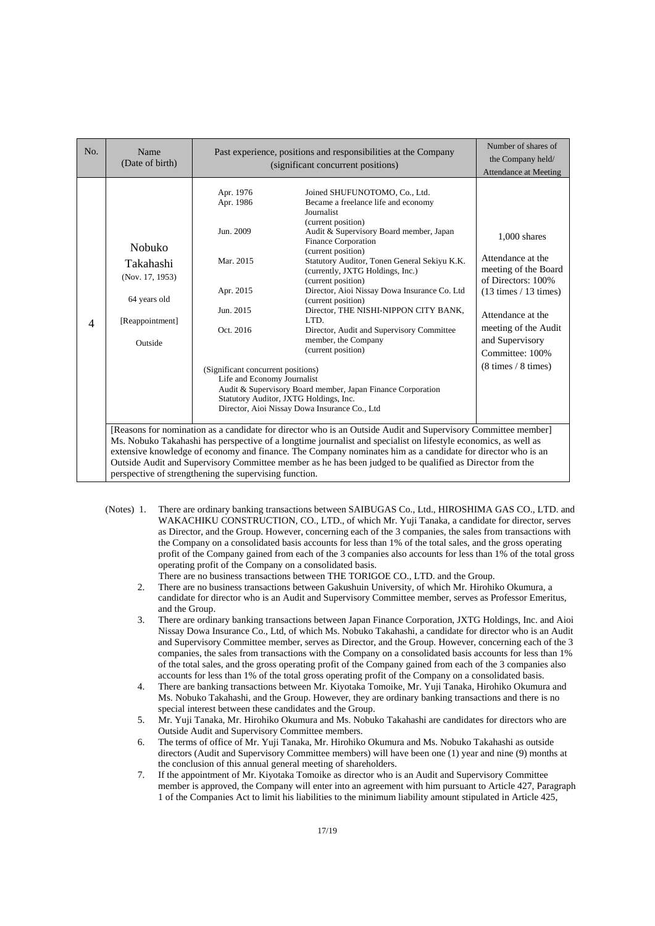| No.            | Name<br>(Date of birth)                                                                                                                                                                                                                                                                                                                                                                                                                                                                                                | Past experience, positions and responsibilities at the Company<br>(significant concurrent positions)                                                         |                                                                                                                                                                                                                                                                                                                                                                                                                                                                                                                                                                                                                                                                                              | Number of shares of<br>the Company held/<br><b>Attendance at Meeting</b>                                                                                                                                                       |  |
|----------------|------------------------------------------------------------------------------------------------------------------------------------------------------------------------------------------------------------------------------------------------------------------------------------------------------------------------------------------------------------------------------------------------------------------------------------------------------------------------------------------------------------------------|--------------------------------------------------------------------------------------------------------------------------------------------------------------|----------------------------------------------------------------------------------------------------------------------------------------------------------------------------------------------------------------------------------------------------------------------------------------------------------------------------------------------------------------------------------------------------------------------------------------------------------------------------------------------------------------------------------------------------------------------------------------------------------------------------------------------------------------------------------------------|--------------------------------------------------------------------------------------------------------------------------------------------------------------------------------------------------------------------------------|--|
| $\overline{4}$ | Nobuko<br>Takahashi<br>(Nov. 17, 1953)<br>64 years old<br>[Reappointment]<br>Outside                                                                                                                                                                                                                                                                                                                                                                                                                                   | Apr. 1976<br>Apr. 1986<br>Jun. 2009<br>Mar. 2015<br>Apr. 2015<br>Jun. 2015<br>Oct. 2016<br>(Significant concurrent positions)<br>Life and Economy Journalist | Joined SHUFUNOTOMO, Co., Ltd.<br>Became a freelance life and economy<br>Journalist<br>(current position)<br>Audit & Supervisory Board member, Japan<br><b>Finance Corporation</b><br>(current position)<br>Statutory Auditor, Tonen General Sekiyu K.K.<br>(currently, JXTG Holdings, Inc.)<br>(current position)<br>Director, Aioi Nissay Dowa Insurance Co. Ltd<br>(current position)<br>Director, THE NISHI-NIPPON CITY BANK,<br>LTD.<br>Director, Audit and Supervisory Committee<br>member, the Company<br>(current position)<br>Audit & Supervisory Board member, Japan Finance Corporation<br>Statutory Auditor, JXTG Holdings, Inc.<br>Director, Aioi Nissay Dowa Insurance Co., Ltd | $1,000$ shares<br>Attendance at the<br>meeting of the Board<br>of Directors: 100%<br>$(13 \times / 13 \times )$<br>Attendance at the<br>meeting of the Audit<br>and Supervisory<br>Committee: 100%<br>$(8 \times / 8 \times )$ |  |
|                | [Reasons for nomination as a candidate for director who is an Outside Audit and Supervisory Committee member]<br>Ms. Nobuko Takahashi has perspective of a longtime journalist and specialist on lifestyle economics, as well as<br>extensive knowledge of economy and finance. The Company nominates him as a candidate for director who is an<br>Outside Audit and Supervisory Committee member as he has been judged to be qualified as Director from the<br>perspective of strengthening the supervising function. |                                                                                                                                                              |                                                                                                                                                                                                                                                                                                                                                                                                                                                                                                                                                                                                                                                                                              |                                                                                                                                                                                                                                |  |

(Notes) 1. There are ordinary banking transactions between SAIBUGAS Co., Ltd., HIROSHIMA GAS CO., LTD. and WAKACHIKU CONSTRUCTION, CO., LTD., of which Mr. Yuji Tanaka, a candidate for director, serves as Director, and the Group. However, concerning each of the 3 companies, the sales from transactions with the Company on a consolidated basis accounts for less than 1% of the total sales, and the gross operating profit of the Company gained from each of the 3 companies also accounts for less than 1% of the total gross operating profit of the Company on a consolidated basis.

There are no business transactions between THE TORIGOE CO., LTD. and the Group.

- 2. There are no business transactions between Gakushuin University, of which Mr. Hirohiko Okumura, a candidate for director who is an Audit and Supervisory Committee member, serves as Professor Emeritus, and the Group.
- 3. There are ordinary banking transactions between Japan Finance Corporation, JXTG Holdings, Inc. and Aioi Nissay Dowa Insurance Co., Ltd, of which Ms. Nobuko Takahashi, a candidate for director who is an Audit and Supervisory Committee member, serves as Director, and the Group. However, concerning each of the 3 companies, the sales from transactions with the Company on a consolidated basis accounts for less than 1% of the total sales, and the gross operating profit of the Company gained from each of the 3 companies also accounts for less than 1% of the total gross operating profit of the Company on a consolidated basis.
- 4. There are banking transactions between Mr. Kiyotaka Tomoike, Mr. Yuji Tanaka, Hirohiko Okumura and Ms. Nobuko Takahashi, and the Group. However, they are ordinary banking transactions and there is no special interest between these candidates and the Group.
- 5. Mr. Yuji Tanaka, Mr. Hirohiko Okumura and Ms. Nobuko Takahashi are candidates for directors who are Outside Audit and Supervisory Committee members.
- 6. The terms of office of Mr. Yuji Tanaka, Mr. Hirohiko Okumura and Ms. Nobuko Takahashi as outside directors (Audit and Supervisory Committee members) will have been one (1) year and nine (9) months at the conclusion of this annual general meeting of shareholders.
- 7. If the appointment of Mr. Kiyotaka Tomoike as director who is an Audit and Supervisory Committee member is approved, the Company will enter into an agreement with him pursuant to Article 427, Paragraph 1 of the Companies Act to limit his liabilities to the minimum liability amount stipulated in Article 425,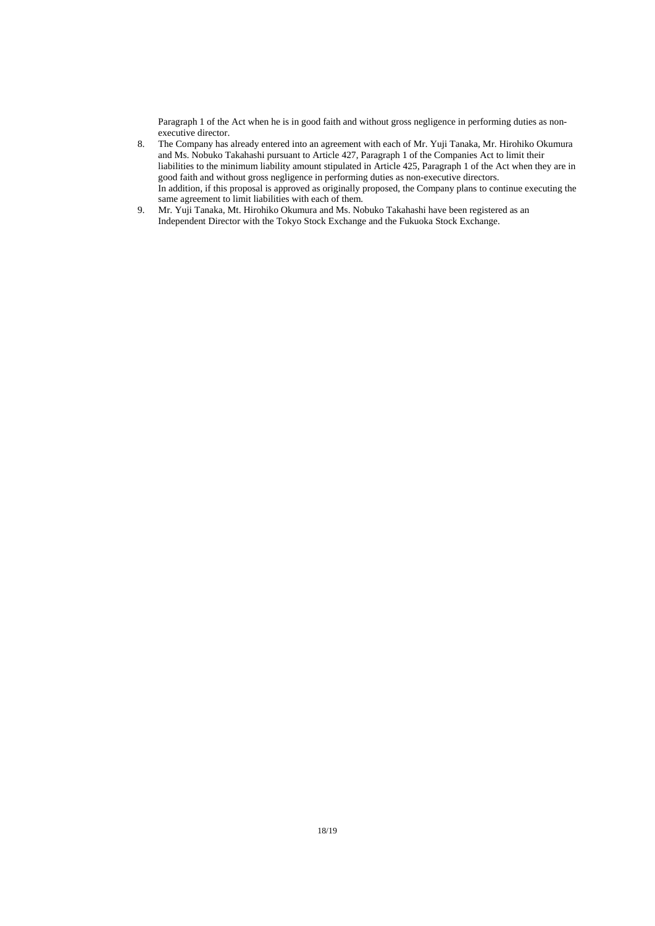Paragraph 1 of the Act when he is in good faith and without gross negligence in performing duties as nonexecutive director.

- 8. The Company has already entered into an agreement with each of Mr. Yuji Tanaka, Mr. Hirohiko Okumura and Ms. Nobuko Takahashi pursuant to Article 427, Paragraph 1 of the Companies Act to limit their liabilities to the minimum liability amount stipulated in Article 425, Paragraph 1 of the Act when they are in good faith and without gross negligence in performing duties as non-executive directors. In addition, if this proposal is approved as originally proposed, the Company plans to continue executing the same agreement to limit liabilities with each of them.
- 9. Mr. Yuji Tanaka, Mt. Hirohiko Okumura and Ms. Nobuko Takahashi have been registered as an Independent Director with the Tokyo Stock Exchange and the Fukuoka Stock Exchange.